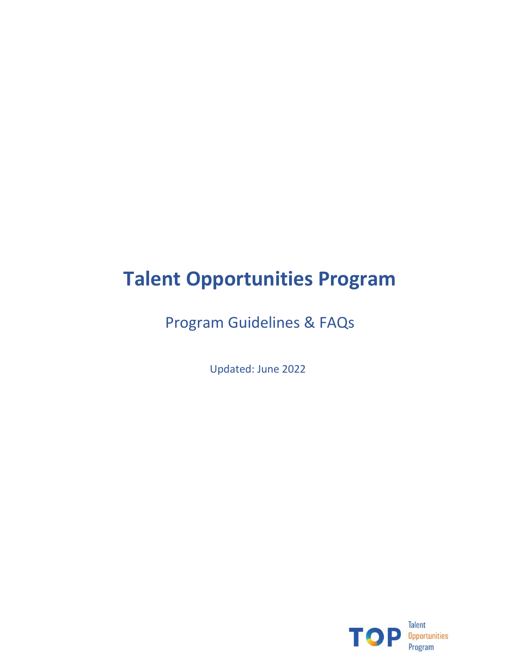# **Talent Opportunities Program**

Program Guidelines & FAQs

Updated: June 2022

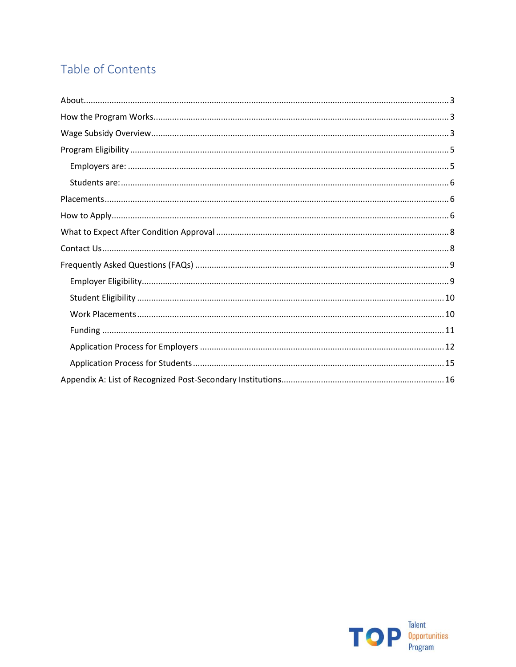# Table of Contents

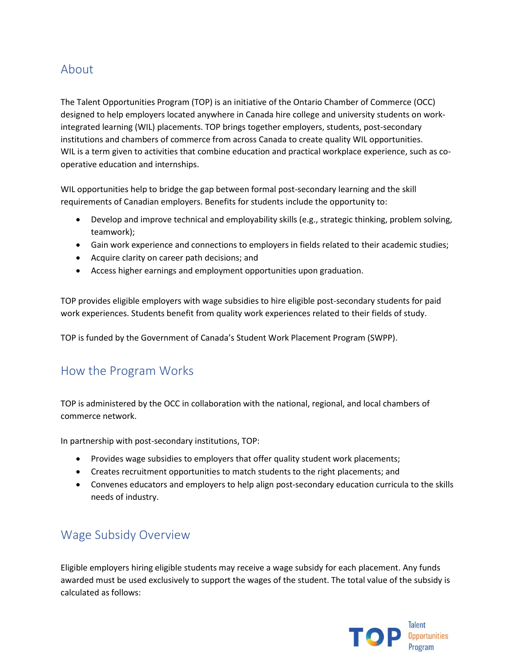# <span id="page-2-0"></span>About

The Talent Opportunities Program (TOP) is an initiative of the Ontario Chamber of Commerce (OCC) designed to help employers located anywhere in Canada hire college and university students on workintegrated learning (WIL) placements. TOP brings together employers, students, post-secondary institutions and chambers of commerce from across Canada to create quality WIL opportunities. WIL is a term given to activities that combine education and practical workplace experience, such as cooperative education and internships.

WIL opportunities help to bridge the gap between formal post-secondary learning and the skill requirements of Canadian employers. Benefits for students include the opportunity to:

- Develop and improve technical and employability skills (e.g., strategic thinking, problem solving, teamwork);
- Gain work experience and connections to employers in fields related to their academic studies;
- Acquire clarity on career path decisions; and
- Access higher earnings and employment opportunities upon graduation.

TOP provides eligible employers with wage subsidies to hire eligible post-secondary students for paid work experiences. Students benefit from quality work experiences related to their fields of study.

TOP is funded by the Government of Canada's Student Work Placement Program (SWPP).

# <span id="page-2-1"></span>How the Program Works

TOP is administered by the OCC in collaboration with the national, regional, and local chambers of commerce network.

In partnership with post-secondary institutions, TOP:

- Provides wage subsidies to employers that offer quality student work placements;
- Creates recruitment opportunities to match students to the right placements; and
- Convenes educators and employers to help align post-secondary education curricula to the skills needs of industry.

# <span id="page-2-2"></span>Wage Subsidy Overview

Eligible employers hiring eligible students may receive a wage subsidy for each placement. Any funds awarded must be used exclusively to support the wages of the student. The total value of the subsidy is calculated as follows:

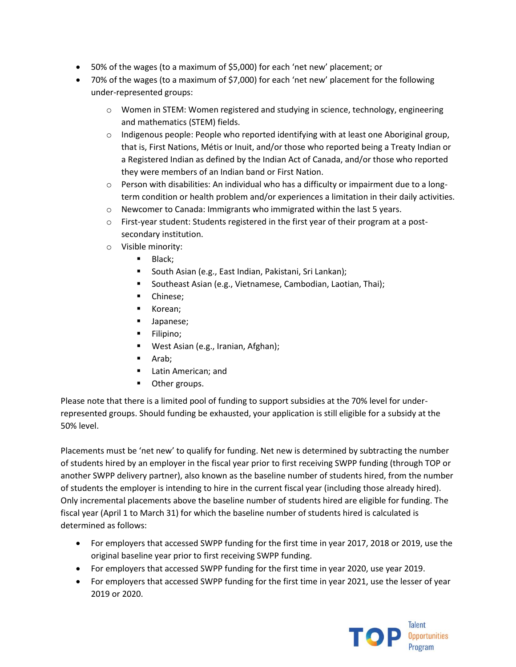- 50% of the wages (to a maximum of \$5,000) for each 'net new' placement; or
- 70% of the wages (to a maximum of \$7,000) for each 'net new' placement for the following under-represented groups:
	- o Women in STEM: Women registered and studying in science, technology, engineering and mathematics (STEM) fields.
	- $\circ$  Indigenous people: People who reported identifying with at least one Aboriginal group, that is, First Nations, Métis or Inuit, and/or those who reported being a Treaty Indian or a Registered Indian as defined by the Indian Act of Canada, and/or those who reported they were members of an Indian band or First Nation.
	- $\circ$  Person with disabilities: An individual who has a difficulty or impairment due to a longterm condition or health problem and/or experiences a limitation in their daily activities.
	- o Newcomer to Canada: Immigrants who immigrated within the last 5 years.
	- o First-year student: Students registered in the first year of their program at a postsecondary institution.
	- o Visible minority:
		- Black;
		- South Asian (e.g., East Indian, Pakistani, Sri Lankan);
		- Southeast Asian (e.g., Vietnamese, Cambodian, Laotian, Thai);
		- **•** Chinese;
		- Korean;
		- Japanese;
		- Filipino;
		- West Asian (e.g., Iranian, Afghan);
		- Arab;
		- Latin American; and
		- Other groups.

Please note that there is a limited pool of funding to support subsidies at the 70% level for underrepresented groups. Should funding be exhausted, your application is still eligible for a subsidy at the 50% level.

Placements must be 'net new' to qualify for funding. Net new is determined by subtracting the number of students hired by an employer in the fiscal year prior to first receiving SWPP funding (through TOP or another SWPP delivery partner), also known as the baseline number of students hired, from the number of students the employer is intending to hire in the current fiscal year (including those already hired). Only incremental placements above the baseline number of students hired are eligible for funding. The fiscal year (April 1 to March 31) for which the baseline number of students hired is calculated is determined as follows:

- For employers that accessed SWPP funding for the first time in year 2017, 2018 or 2019, use the original baseline year prior to first receiving SWPP funding.
- For employers that accessed SWPP funding for the first time in year 2020, use year 2019.
- For employers that accessed SWPP funding for the first time in year 2021, use the lesser of year 2019 or 2020.

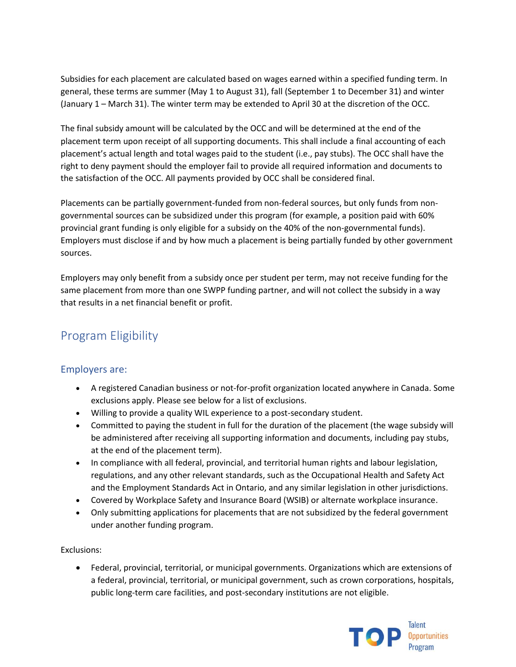Subsidies for each placement are calculated based on wages earned within a specified funding term. In general, these terms are summer (May 1 to August 31), fall (September 1 to December 31) and winter (January 1 – March 31). The winter term may be extended to April 30 at the discretion of the OCC.

The final subsidy amount will be calculated by the OCC and will be determined at the end of the placement term upon receipt of all supporting documents. This shall include a final accounting of each placement's actual length and total wages paid to the student (i.e., pay stubs). The OCC shall have the right to deny payment should the employer fail to provide all required information and documents to the satisfaction of the OCC. All payments provided by OCC shall be considered final.

Placements can be partially government-funded from non-federal sources, but only funds from nongovernmental sources can be subsidized under this program (for example, a position paid with 60% provincial grant funding is only eligible for a subsidy on the 40% of the non-governmental funds). Employers must disclose if and by how much a placement is being partially funded by other government sources.

Employers may only benefit from a subsidy once per student per term, may not receive funding for the same placement from more than one SWPP funding partner, and will not collect the subsidy in a way that results in a net financial benefit or profit.

# <span id="page-4-0"></span>Program Eligibility

# <span id="page-4-1"></span>Employers are:

- A registered Canadian business or not-for-profit organization located anywhere in Canada. Some exclusions apply. Please see below for a list of exclusions.
- Willing to provide a quality WIL experience to a post-secondary student.
- Committed to paying the student in full for the duration of the placement (the wage subsidy will be administered after receiving all supporting information and documents, including pay stubs, at the end of the placement term).
- In compliance with all federal, provincial, and territorial human rights and labour legislation, regulations, and any other relevant standards, such as the Occupational Health and Safety Act and the Employment Standards Act in Ontario, and any similar legislation in other jurisdictions.
- Covered by Workplace Safety and Insurance Board (WSIB) or alternate workplace insurance.
- Only submitting applications for placements that are not subsidized by the federal government under another funding program.

### Exclusions:

• Federal, provincial, territorial, or municipal governments. Organizations which are extensions of a federal, provincial, territorial, or municipal government, such as crown corporations, hospitals, public long-term care facilities, and post-secondary institutions are not eligible.

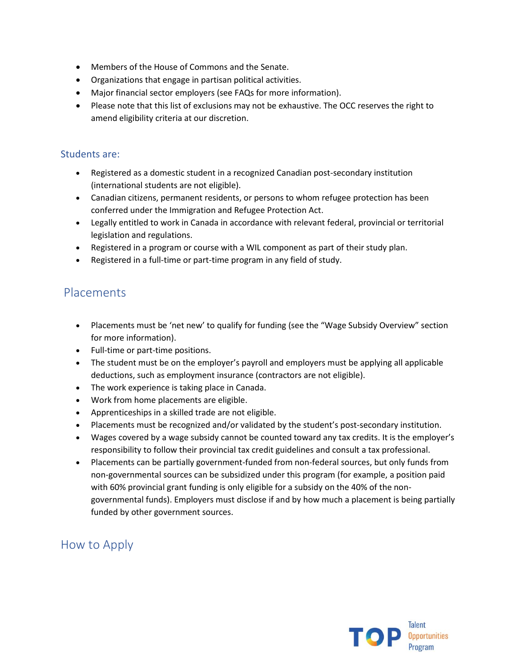- Members of the House of Commons and the Senate.
- Organizations that engage in partisan political activities.
- Major financial sector employers (see FAQs for more information).
- Please note that this list of exclusions may not be exhaustive. The OCC reserves the right to amend eligibility criteria at our discretion.

# <span id="page-5-0"></span>Students are:

- Registered as a domestic student in a recognized Canadian post-secondary institution (international students are not eligible).
- Canadian citizens, permanent residents, or persons to whom refugee protection has been conferred under the Immigration and Refugee Protection Act.
- Legally entitled to work in Canada in accordance with relevant federal, provincial or territorial legislation and regulations.
- Registered in a program or course with a WIL component as part of their study plan.
- Registered in a full-time or part-time program in any field of study.

# <span id="page-5-1"></span>Placements

- Placements must be 'net new' to qualify for funding (see the "Wage Subsidy Overview" section for more information).
- Full-time or part-time positions.
- The student must be on the employer's payroll and employers must be applying all applicable deductions, such as employment insurance (contractors are not eligible).
- The work experience is taking place in Canada.
- Work from home placements are eligible.
- Apprenticeships in a skilled trade are not eligible.
- Placements must be recognized and/or validated by the student's post-secondary institution.
- Wages covered by a wage subsidy cannot be counted toward any tax credits. It is the employer's responsibility to follow their provincial tax credit guidelines and consult a tax professional.
- Placements can be partially government-funded from non-federal sources, but only funds from non-governmental sources can be subsidized under this program (for example, a position paid with 60% provincial grant funding is only eligible for a subsidy on the 40% of the nongovernmental funds). Employers must disclose if and by how much a placement is being partially funded by other government sources.

# <span id="page-5-2"></span>How to Apply

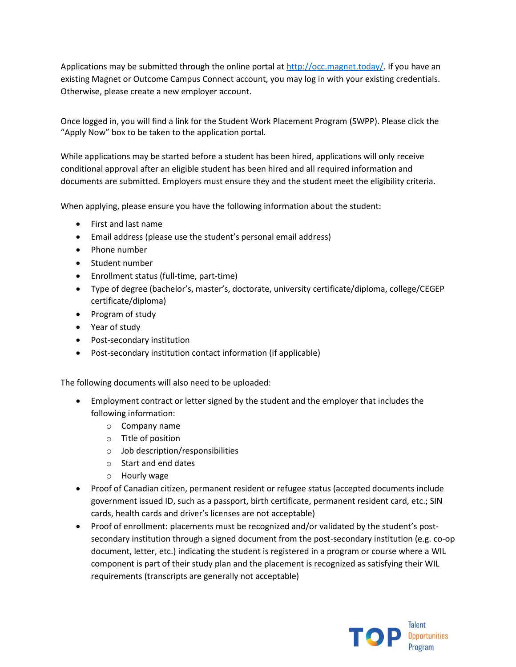Applications may be submitted through the online portal at  $<http://occ.magnet.today/>. If you have an$ existing Magnet or Outcome Campus Connect account, you may log in with your existing credentials. Otherwise, please create a new employer account.

Once logged in, you will find a link for the Student Work Placement Program (SWPP). Please click the "Apply Now" box to be taken to the application portal.

While applications may be started before a student has been hired, applications will only receive conditional approval after an eligible student has been hired and all required information and documents are submitted. Employers must ensure they and the student meet the eligibility criteria.

When applying, please ensure you have the following information about the student:

- First and last name
- Email address (please use the student's personal email address)
- Phone number
- Student number
- Enrollment status (full-time, part-time)
- Type of degree (bachelor's, master's, doctorate, university certificate/diploma, college/CEGEP certificate/diploma)
- Program of study
- Year of study
- Post-secondary institution
- Post-secondary institution contact information (if applicable)

The following documents will also need to be uploaded:

- Employment contract or letter signed by the student and the employer that includes the following information:
	- o Company name
	- o Title of position
	- o Job description/responsibilities
	- o Start and end dates
	- o Hourly wage
- Proof of Canadian citizen, permanent resident or refugee status (accepted documents include government issued ID, such as a passport, birth certificate, permanent resident card, etc.; SIN cards, health cards and driver's licenses are not acceptable)
- Proof of enrollment: placements must be recognized and/or validated by the student's postsecondary institution through a signed document from the post-secondary institution (e.g. co-op document, letter, etc.) indicating the student is registered in a program or course where a WIL component is part of their study plan and the placement is recognized as satisfying their WIL requirements (transcripts are generally not acceptable)

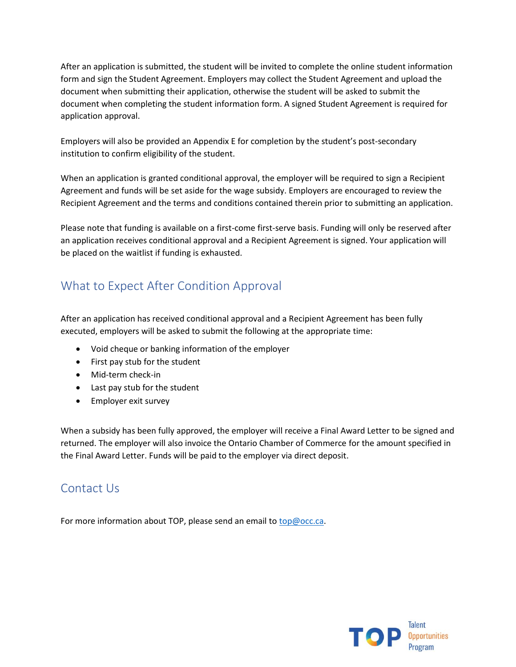After an application is submitted, the student will be invited to complete the online student information form and sign the Student Agreement. Employers may collect the Student Agreement and upload the document when submitting their application, otherwise the student will be asked to submit the document when completing the student information form. A signed Student Agreement is required for application approval.

Employers will also be provided an Appendix E for completion by the student's post-secondary institution to confirm eligibility of the student.

When an application is granted conditional approval, the employer will be required to sign a Recipient Agreement and funds will be set aside for the wage subsidy. Employers are encouraged to review the Recipient Agreement and the terms and conditions contained therein prior to submitting an application.

Please note that funding is available on a first-come first-serve basis. Funding will only be reserved after an application receives conditional approval and a Recipient Agreement is signed. Your application will be placed on the waitlist if funding is exhausted.

# <span id="page-7-0"></span>What to Expect After Condition Approval

After an application has received conditional approval and a Recipient Agreement has been fully executed, employers will be asked to submit the following at the appropriate time:

- Void cheque or banking information of the employer
- First pay stub for the student
- Mid-term check-in
- Last pay stub for the student
- Employer exit survey

When a subsidy has been fully approved, the employer will receive a Final Award Letter to be signed and returned. The employer will also invoice the Ontario Chamber of Commerce for the amount specified in the Final Award Letter. Funds will be paid to the employer via direct deposit.

# <span id="page-7-1"></span>Contact Us

For more information about TOP, please send an email to [top@occ.ca.](mailto:top@occ.ca)

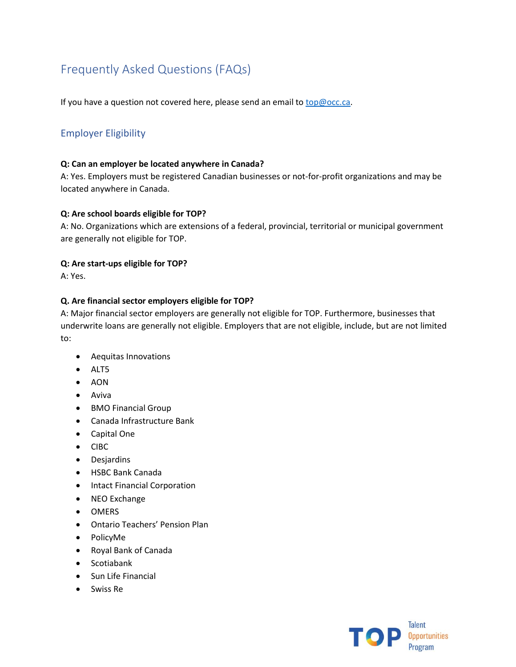# <span id="page-8-0"></span>Frequently Asked Questions (FAQs)

If you have a question not covered here, please send an email t[o top@occ.ca.](mailto:top@occ.ca)

# <span id="page-8-1"></span>Employer Eligibility

#### **Q: Can an employer be located anywhere in Canada?**

A: Yes. Employers must be registered Canadian businesses or not-for-profit organizations and may be located anywhere in Canada.

#### **Q: Are school boards eligible for TOP?**

A: No. Organizations which are extensions of a federal, provincial, territorial or municipal government are generally not eligible for TOP.

#### **Q: Are start-ups eligible for TOP?**

A: Yes.

#### **Q. Are financial sector employers eligible for TOP?**

A: Major financial sector employers are generally not eligible for TOP. Furthermore, businesses that underwrite loans are generally not eligible. Employers that are not eligible, include, but are not limited to:

- Aequitas Innovations
- ALT5
- AON
- Aviva
- BMO Financial Group
- Canada Infrastructure Bank
- Capital One
- CIBC
- Desjardins
- HSBC Bank Canada
- Intact Financial Corporation
- NEO Exchange
- OMERS
- Ontario Teachers' Pension Plan
- PolicyMe
- Royal Bank of Canada
- Scotiabank
- Sun Life Financial
- Swiss Re

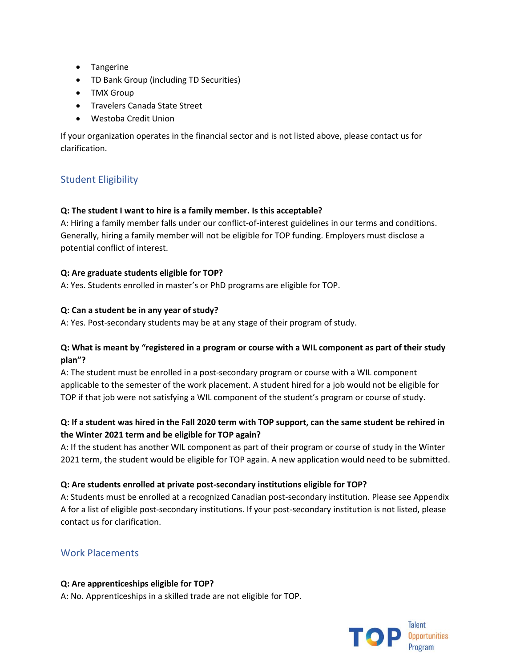- Tangerine
- TD Bank Group (including TD Securities)
- TMX Group
- Travelers Canada State Street
- Westoba Credit Union

If your organization operates in the financial sector and is not listed above, please contact us for clarification.

# <span id="page-9-0"></span>Student Eligibility

### **Q: The student I want to hire is a family member. Is this acceptable?**

A: Hiring a family member falls under our conflict-of-interest guidelines in our terms and conditions. Generally, hiring a family member will not be eligible for TOP funding. Employers must disclose a potential conflict of interest.

### **Q: Are graduate students eligible for TOP?**

A: Yes. Students enrolled in master's or PhD programs are eligible for TOP.

#### **Q: Can a student be in any year of study?**

A: Yes. Post-secondary students may be at any stage of their program of study.

### **Q: What is meant by "registered in a program or course with a WIL component as part of their study plan"?**

A: The student must be enrolled in a post-secondary program or course with a WIL component applicable to the semester of the work placement. A student hired for a job would not be eligible for TOP if that job were not satisfying a WIL component of the student's program or course of study.

# **Q: If a student was hired in the Fall 2020 term with TOP support, can the same student be rehired in the Winter 2021 term and be eligible for TOP again?**

A: If the student has another WIL component as part of their program or course of study in the Winter 2021 term, the student would be eligible for TOP again. A new application would need to be submitted.

#### **Q: Are students enrolled at private post-secondary institutions eligible for TOP?**

A: Students must be enrolled at a recognized Canadian post-secondary institution. Please see Appendix A for a list of eligible post-secondary institutions. If your post-secondary institution is not listed, please contact us for clarification.

# <span id="page-9-1"></span>Work Placements

#### **Q: Are apprenticeships eligible for TOP?**

A: No. Apprenticeships in a skilled trade are not eligible for TOP.

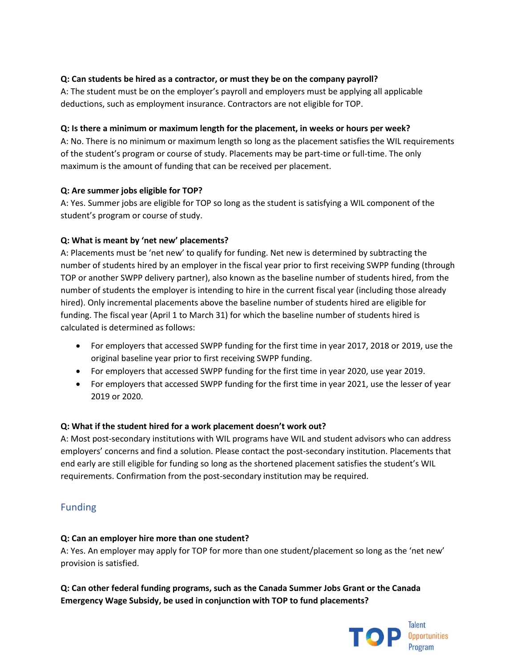# **Q: Can students be hired as a contractor, or must they be on the company payroll?**

A: The student must be on the employer's payroll and employers must be applying all applicable deductions, such as employment insurance. Contractors are not eligible for TOP.

### **Q: Is there a minimum or maximum length for the placement, in weeks or hours per week?**

A: No. There is no minimum or maximum length so long as the placement satisfies the WIL requirements of the student's program or course of study. Placements may be part-time or full-time. The only maximum is the amount of funding that can be received per placement.

# **Q: Are summer jobs eligible for TOP?**

A: Yes. Summer jobs are eligible for TOP so long as the student is satisfying a WIL component of the student's program or course of study.

# **Q: What is meant by 'net new' placements?**

A: Placements must be 'net new' to qualify for funding. Net new is determined by subtracting the number of students hired by an employer in the fiscal year prior to first receiving SWPP funding (through TOP or another SWPP delivery partner), also known as the baseline number of students hired, from the number of students the employer is intending to hire in the current fiscal year (including those already hired). Only incremental placements above the baseline number of students hired are eligible for funding. The fiscal year (April 1 to March 31) for which the baseline number of students hired is calculated is determined as follows:

- For employers that accessed SWPP funding for the first time in year 2017, 2018 or 2019, use the original baseline year prior to first receiving SWPP funding.
- For employers that accessed SWPP funding for the first time in year 2020, use year 2019.
- For employers that accessed SWPP funding for the first time in year 2021, use the lesser of year 2019 or 2020.

# **Q: What if the student hired for a work placement doesn't work out?**

A: Most post-secondary institutions with WIL programs have WIL and student advisors who can address employers' concerns and find a solution. Please contact the post-secondary institution. Placements that end early are still eligible for funding so long as the shortened placement satisfies the student's WIL requirements. Confirmation from the post-secondary institution may be required.

# <span id="page-10-0"></span>Funding

### **Q: Can an employer hire more than one student?**

A: Yes. An employer may apply for TOP for more than one student/placement so long as the 'net new' provision is satisfied.

**Q: Can other federal funding programs, such as the Canada Summer Jobs Grant or the Canada Emergency Wage Subsidy, be used in conjunction with TOP to fund placements?**

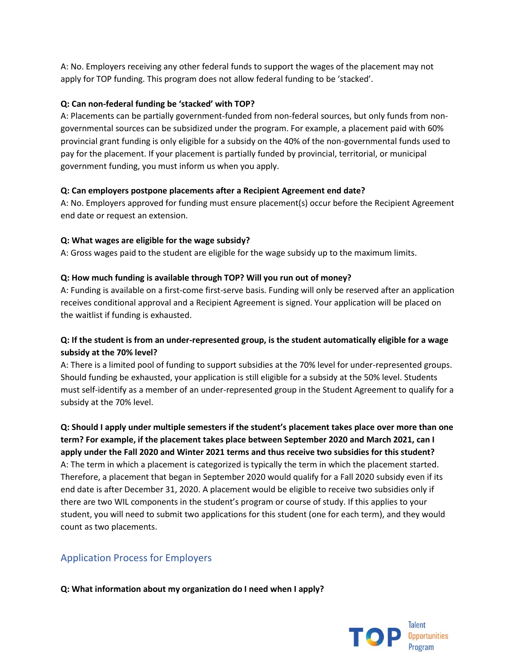A: No. Employers receiving any other federal funds to support the wages of the placement may not apply for TOP funding. This program does not allow federal funding to be 'stacked'.

#### **Q: Can non-federal funding be 'stacked' with TOP?**

A: Placements can be partially government-funded from non-federal sources, but only funds from nongovernmental sources can be subsidized under the program. For example, a placement paid with 60% provincial grant funding is only eligible for a subsidy on the 40% of the non-governmental funds used to pay for the placement. If your placement is partially funded by provincial, territorial, or municipal government funding, you must inform us when you apply.

#### **Q: Can employers postpone placements after a Recipient Agreement end date?**

A: No. Employers approved for funding must ensure placement(s) occur before the Recipient Agreement end date or request an extension.

#### **Q: What wages are eligible for the wage subsidy?**

A: Gross wages paid to the student are eligible for the wage subsidy up to the maximum limits.

#### **Q: How much funding is available through TOP? Will you run out of money?**

A: Funding is available on a first-come first-serve basis. Funding will only be reserved after an application receives conditional approval and a Recipient Agreement is signed. Your application will be placed on the waitlist if funding is exhausted.

# **Q: If the student is from an under-represented group, is the student automatically eligible for a wage subsidy at the 70% level?**

A: There is a limited pool of funding to support subsidies at the 70% level for under-represented groups. Should funding be exhausted, your application is still eligible for a subsidy at the 50% level. Students must self-identify as a member of an under-represented group in the Student Agreement to qualify for a subsidy at the 70% level.

**Q: Should I apply under multiple semesters if the student's placement takes place over more than one term? For example, if the placement takes place between September 2020 and March 2021, can I apply under the Fall 2020 and Winter 2021 terms and thus receive two subsidies for this student?** A: The term in which a placement is categorized is typically the term in which the placement started. Therefore, a placement that began in September 2020 would qualify for a Fall 2020 subsidy even if its end date is after December 31, 2020. A placement would be eligible to receive two subsidies only if there are two WIL components in the student's program or course of study. If this applies to your student, you will need to submit two applications for this student (one for each term), and they would count as two placements.

# <span id="page-11-0"></span>Application Process for Employers

**Q: What information about my organization do I need when I apply?**

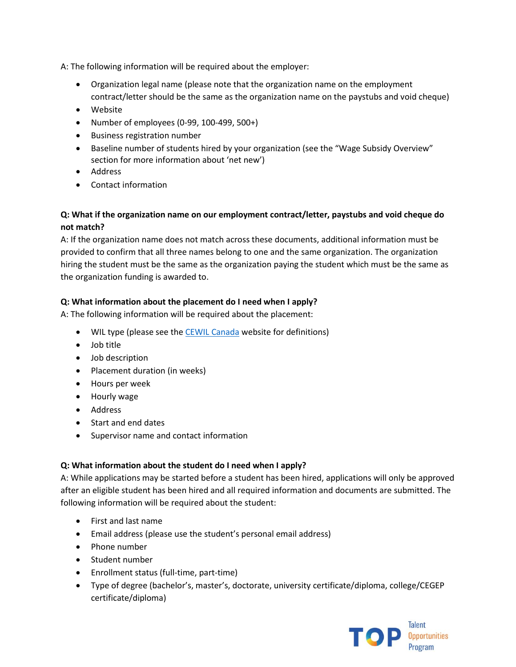A: The following information will be required about the employer:

- Organization legal name (please note that the organization name on the employment contract/letter should be the same as the organization name on the paystubs and void cheque)
- Website
- Number of employees (0-99, 100-499, 500+)
- Business registration number
- Baseline number of students hired by your organization (see the "Wage Subsidy Overview" section for more information about 'net new')
- Address
- Contact information

# **Q: What if the organization name on our employment contract/letter, paystubs and void cheque do not match?**

A: If the organization name does not match across these documents, additional information must be provided to confirm that all three names belong to one and the same organization. The organization hiring the student must be the same as the organization paying the student which must be the same as the organization funding is awarded to.

# **Q: What information about the placement do I need when I apply?**

A: The following information will be required about the placement:

- WIL type (please see the **CEWIL Canada** website for definitions)
- Job title
- Job description
- Placement duration (in weeks)
- Hours per week
- Hourly wage
- Address
- Start and end dates
- Supervisor name and contact information

### **Q: What information about the student do I need when I apply?**

A: While applications may be started before a student has been hired, applications will only be approved after an eligible student has been hired and all required information and documents are submitted. The following information will be required about the student:

- First and last name
- Email address (please use the student's personal email address)
- Phone number
- Student number
- Enrollment status (full-time, part-time)
- Type of degree (bachelor's, master's, doctorate, university certificate/diploma, college/CEGEP certificate/diploma)

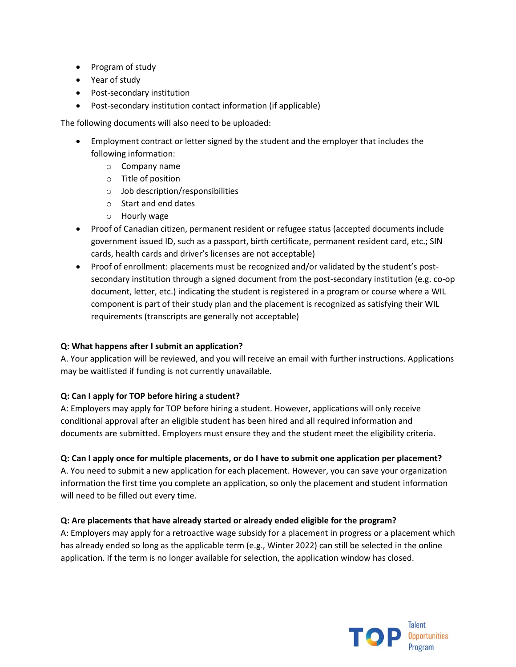- Program of study
- Year of study
- Post-secondary institution
- Post-secondary institution contact information (if applicable)

The following documents will also need to be uploaded:

- Employment contract or letter signed by the student and the employer that includes the following information:
	- o Company name
	- o Title of position
	- o Job description/responsibilities
	- o Start and end dates
	- o Hourly wage
- Proof of Canadian citizen, permanent resident or refugee status (accepted documents include government issued ID, such as a passport, birth certificate, permanent resident card, etc.; SIN cards, health cards and driver's licenses are not acceptable)
- Proof of enrollment: placements must be recognized and/or validated by the student's postsecondary institution through a signed document from the post-secondary institution (e.g. co-op document, letter, etc.) indicating the student is registered in a program or course where a WIL component is part of their study plan and the placement is recognized as satisfying their WIL requirements (transcripts are generally not acceptable)

#### **Q: What happens after I submit an application?**

A. Your application will be reviewed, and you will receive an email with further instructions. Applications may be waitlisted if funding is not currently unavailable.

#### **Q: Can I apply for TOP before hiring a student?**

A: Employers may apply for TOP before hiring a student. However, applications will only receive conditional approval after an eligible student has been hired and all required information and documents are submitted. Employers must ensure they and the student meet the eligibility criteria.

#### **Q: Can I apply once for multiple placements, or do I have to submit one application per placement?**

A. You need to submit a new application for each placement. However, you can save your organization information the first time you complete an application, so only the placement and student information will need to be filled out every time.

#### **Q: Are placements that have already started or already ended eligible for the program?**

A: Employers may apply for a retroactive wage subsidy for a placement in progress or a placement which has already ended so long as the applicable term (e.g., Winter 2022) can still be selected in the online application. If the term is no longer available for selection, the application window has closed.

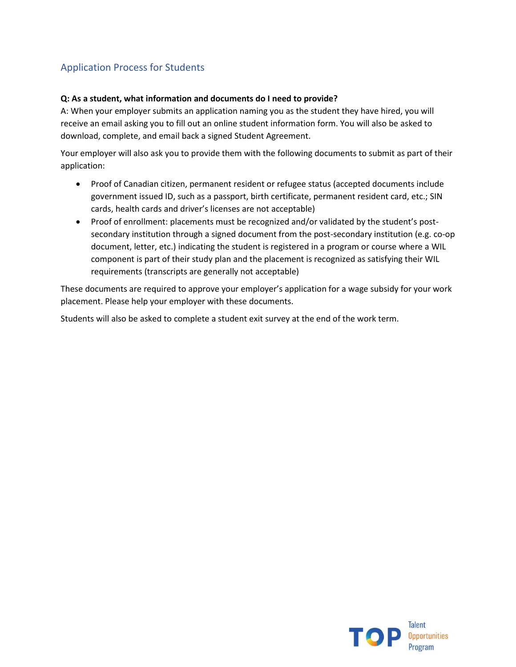# <span id="page-14-0"></span>Application Process for Students

#### **Q: As a student, what information and documents do I need to provide?**

A: When your employer submits an application naming you as the student they have hired, you will receive an email asking you to fill out an online student information form. You will also be asked to download, complete, and email back a signed Student Agreement.

Your employer will also ask you to provide them with the following documents to submit as part of their application:

- Proof of Canadian citizen, permanent resident or refugee status (accepted documents include government issued ID, such as a passport, birth certificate, permanent resident card, etc.; SIN cards, health cards and driver's licenses are not acceptable)
- Proof of enrollment: placements must be recognized and/or validated by the student's postsecondary institution through a signed document from the post-secondary institution (e.g. co-op document, letter, etc.) indicating the student is registered in a program or course where a WIL component is part of their study plan and the placement is recognized as satisfying their WIL requirements (transcripts are generally not acceptable)

These documents are required to approve your employer's application for a wage subsidy for your work placement. Please help your employer with these documents.

Students will also be asked to complete a student exit survey at the end of the work term.

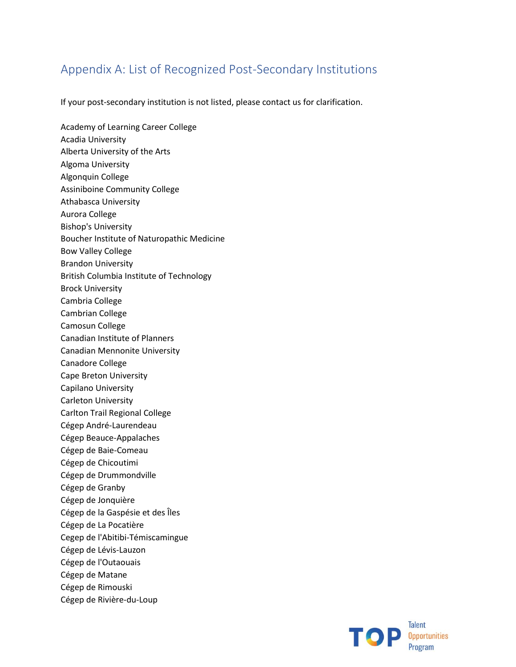# <span id="page-15-0"></span>Appendix A: List of Recognized Post-Secondary Institutions

If your post-secondary institution is not listed, please contact us for clarification.

Academy of Learning Career College Acadia University Alberta University of the Arts Algoma University Algonquin College Assiniboine Community College Athabasca University Aurora College Bishop's University Boucher Institute of Naturopathic Medicine Bow Valley College Brandon University British Columbia Institute of Technology Brock University Cambria College Cambrian College Camosun College Canadian Institute of Planners Canadian Mennonite University Canadore College Cape Breton University Capilano University Carleton University Carlton Trail Regional College Cégep André-Laurendeau Cégep Beauce-Appalaches Cégep de Baie-Comeau Cégep de Chicoutimi Cégep de Drummondville Cégep de Granby Cégep de Jonquière Cégep de la Gaspésie et des Îles Cégep de La Pocatière Cegep de l'Abitibi-Témiscamingue Cégep de Lévis-Lauzon Cégep de l'Outaouais Cégep de Matane Cégep de Rimouski Cégep de Rivière-du-Loup

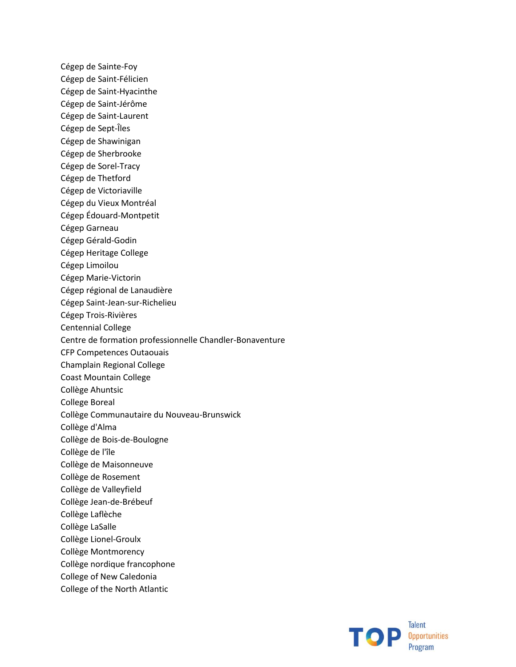Cégep de Sainte-Foy Cégep de Saint-Félicien Cégep de Saint-Hyacinthe Cégep de Saint-Jérôme Cégep de Saint-Laurent Cégep de Sept-Îles Cégep de Shawinigan Cégep de Sherbrooke Cégep de Sorel-Tracy Cégep de Thetford Cégep de Victoriaville Cégep du Vieux Montréal Cégep Édouard-Montpetit Cégep Garneau Cégep Gérald-Godin Cégep Heritage College Cégep Limoilou Cégep Marie-Victorin Cégep régional de Lanaudière Cégep Saint-Jean-sur-Richelieu Cégep Trois-Rivières Centennial College Centre de formation professionnelle Chandler-Bonaventure CFP Competences Outaouais Champlain Regional College Coast Mountain College Collège Ahuntsic College Boreal Collège Communautaire du Nouveau-Brunswick Collège d'Alma Collège de Bois-de-Boulogne Collège de l'île Collège de Maisonneuve Collège de Rosement Collège de Valleyfield Collège Jean-de-Brébeuf Collège Laflèche Collège LaSalle Collège Lionel-Groulx Collège Montmorency Collège nordique francophone College of New Caledonia College of the North Atlantic

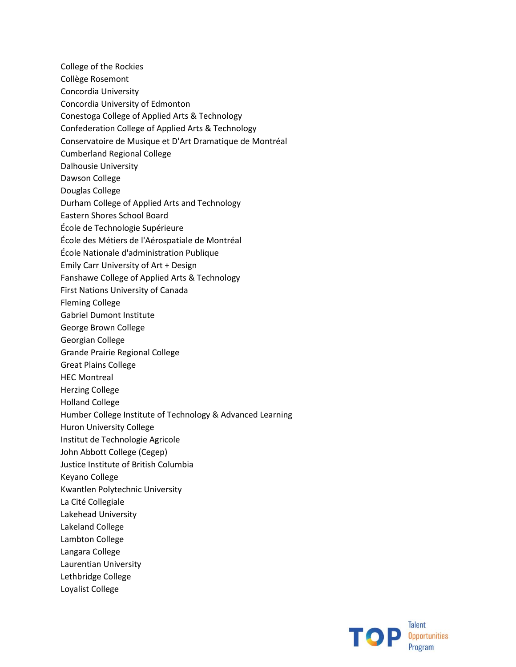College of the Rockies Collège Rosemont Concordia University Concordia University of Edmonton Conestoga College of Applied Arts & Technology Confederation College of Applied Arts & Technology Conservatoire de Musique et D'Art Dramatique de Montréal Cumberland Regional College Dalhousie University Dawson College Douglas College Durham College of Applied Arts and Technology Eastern Shores School Board École de Technologie Supérieure École des Métiers de l'Aérospatiale de Montréal École Nationale d'administration Publique Emily Carr University of Art + Design Fanshawe College of Applied Arts & Technology First Nations University of Canada Fleming College Gabriel Dumont Institute George Brown College Georgian College Grande Prairie Regional College Great Plains College HEC Montreal Herzing College Holland College Humber College Institute of Technology & Advanced Learning Huron University College Institut de Technologie Agricole John Abbott College (Cegep) Justice Institute of British Columbia Keyano College Kwantlen Polytechnic University La Cité Collegiale Lakehead University Lakeland College Lambton College Langara College Laurentian University Lethbridge College Loyalist College

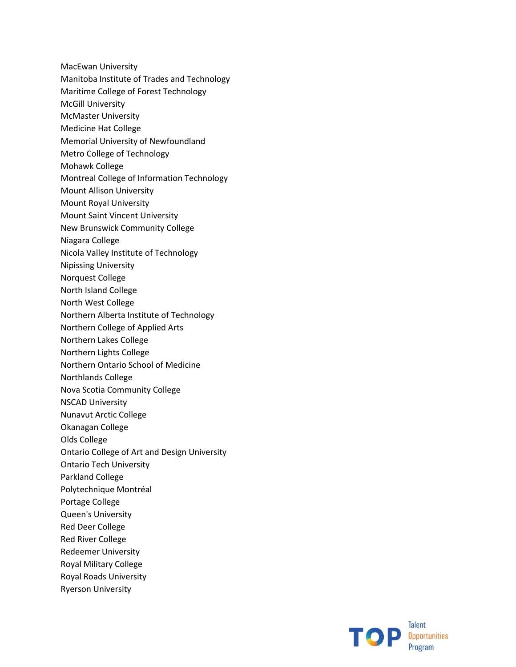- MacEwan University
- Manitoba Institute of Trades and Technology
- Maritime College of Forest Technology
- McGill University
- McMaster University
- Medicine Hat College
- Memorial University of Newfoundland
- Metro College of Technology
- Mohawk College
- Montreal College of Information Technology
- Mount Allison University
- Mount Royal University
- Mount Saint Vincent University
- New Brunswick Community College
- Niagara College
- Nicola Valley Institute of Technology
- Nipissing University
- Norquest College
- North Island College
- North West College
- Northern Alberta Institute of Technology
- Northern College of Applied Arts
- Northern Lakes College
- Northern Lights College
- Northern Ontario School of Medicine
- Northlands College
- Nova Scotia Community College
- NSCAD University
- Nunavut Arctic College
- Okanagan College
- Olds College
- Ontario College of Art and Design University
- Ontario Tech University
- Parkland College
- Polytechnique Montréal
- Portage College
- Queen's University
- Red Deer College
- Red River College
- Redeemer University
- Royal Military College
- Royal Roads University
- Ryerson University

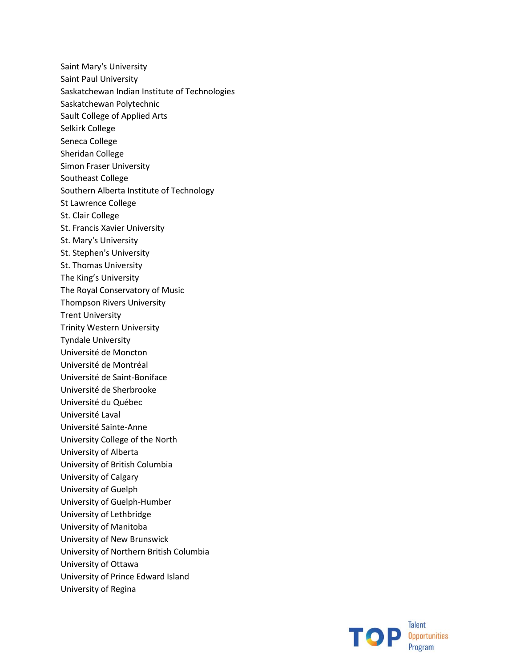Saint Mary's University Saint Paul University Saskatchewan Indian Institute of Technologies Saskatchewan Polytechnic Sault College of Applied Arts Selkirk College Seneca College Sheridan College Simon Fraser University Southeast College Southern Alberta Institute of Technology St Lawrence College St. Clair College St. Francis Xavier University St. Mary's University St. Stephen's University St. Thomas University The King's University The Royal Conservatory of Music Thompson Rivers University Trent University Trinity Western University Tyndale University Université de Moncton Université de Montréal Université de Saint-Boniface Université de Sherbrooke Université du Québec Université Laval Université Sainte-Anne University College of the North University of Alberta University of British Columbia University of Calgary University of Guelph University of Guelph-Humber University of Lethbridge University of Manitoba University of New Brunswick University of Northern British Columbia University of Ottawa University of Prince Edward Island University of Regina